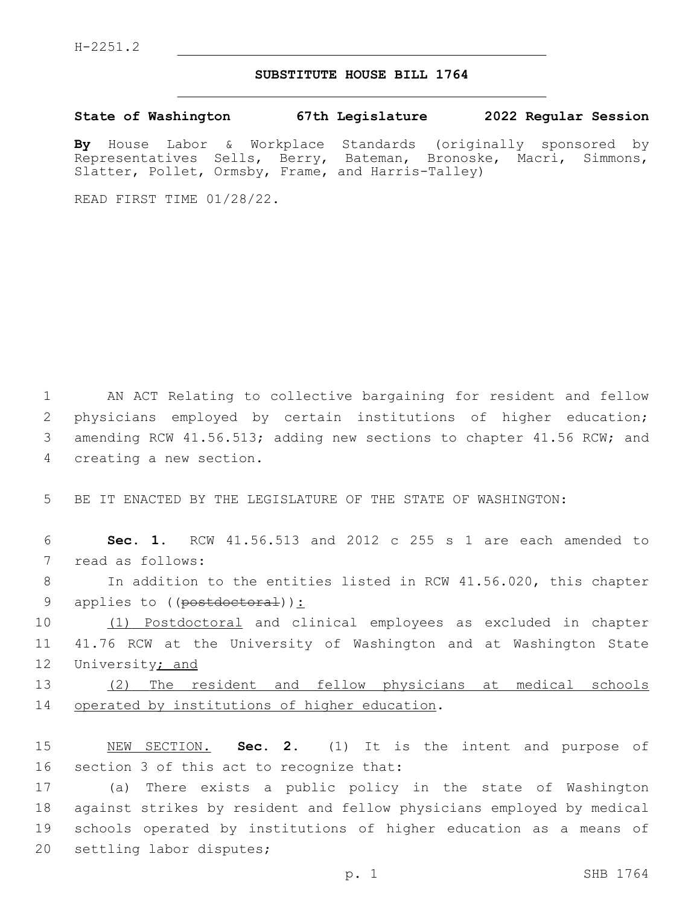## **SUBSTITUTE HOUSE BILL 1764**

**State of Washington 67th Legislature 2022 Regular Session**

**By** House Labor & Workplace Standards (originally sponsored by Representatives Sells, Berry, Bateman, Bronoske, Macri, Simmons, Slatter, Pollet, Ormsby, Frame, and Harris-Talley)

READ FIRST TIME 01/28/22.

1 AN ACT Relating to collective bargaining for resident and fellow 2 physicians employed by certain institutions of higher education; 3 amending RCW 41.56.513; adding new sections to chapter 41.56 RCW; and 4 creating a new section.

5 BE IT ENACTED BY THE LEGISLATURE OF THE STATE OF WASHINGTON:

6 **Sec. 1.** RCW 41.56.513 and 2012 c 255 s 1 are each amended to 7 read as follows:

8 In addition to the entities listed in RCW 41.56.020, this chapter 9 applies to ((postdoctoral)):

10 (1) Postdoctoral and clinical employees as excluded in chapter 11 41.76 RCW at the University of Washington and at Washington State 12 University; and

13 (2) The resident and fellow physicians at medical schools 14 operated by institutions of higher education.

15 NEW SECTION. **Sec. 2.** (1) It is the intent and purpose of 16 section 3 of this act to recognize that:

 (a) There exists a public policy in the state of Washington against strikes by resident and fellow physicians employed by medical schools operated by institutions of higher education as a means of 20 settling labor disputes;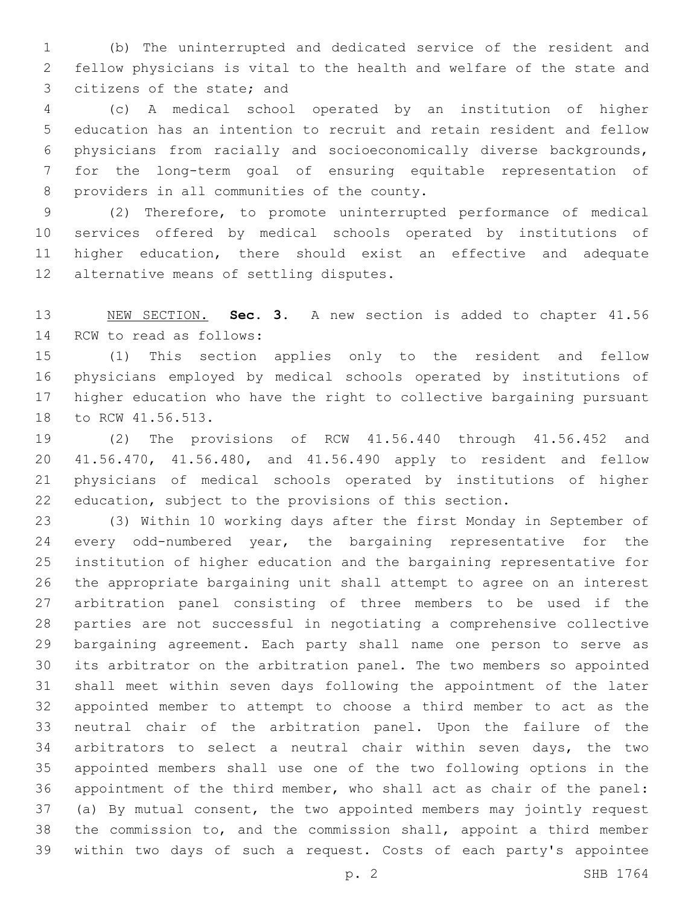(b) The uninterrupted and dedicated service of the resident and fellow physicians is vital to the health and welfare of the state and 3 citizens of the state; and

 (c) A medical school operated by an institution of higher education has an intention to recruit and retain resident and fellow physicians from racially and socioeconomically diverse backgrounds, for the long-term goal of ensuring equitable representation of 8 providers in all communities of the county.

 (2) Therefore, to promote uninterrupted performance of medical services offered by medical schools operated by institutions of higher education, there should exist an effective and adequate 12 alternative means of settling disputes.

 NEW SECTION. **Sec. 3.** A new section is added to chapter 41.56 14 RCW to read as follows:

 (1) This section applies only to the resident and fellow physicians employed by medical schools operated by institutions of higher education who have the right to collective bargaining pursuant 18 to RCW 41.56.513.

 (2) The provisions of RCW 41.56.440 through 41.56.452 and 41.56.470, 41.56.480, and 41.56.490 apply to resident and fellow physicians of medical schools operated by institutions of higher education, subject to the provisions of this section.

 (3) Within 10 working days after the first Monday in September of every odd-numbered year, the bargaining representative for the institution of higher education and the bargaining representative for the appropriate bargaining unit shall attempt to agree on an interest arbitration panel consisting of three members to be used if the parties are not successful in negotiating a comprehensive collective bargaining agreement. Each party shall name one person to serve as its arbitrator on the arbitration panel. The two members so appointed shall meet within seven days following the appointment of the later appointed member to attempt to choose a third member to act as the neutral chair of the arbitration panel. Upon the failure of the arbitrators to select a neutral chair within seven days, the two appointed members shall use one of the two following options in the appointment of the third member, who shall act as chair of the panel: (a) By mutual consent, the two appointed members may jointly request the commission to, and the commission shall, appoint a third member within two days of such a request. Costs of each party's appointee

p. 2 SHB 1764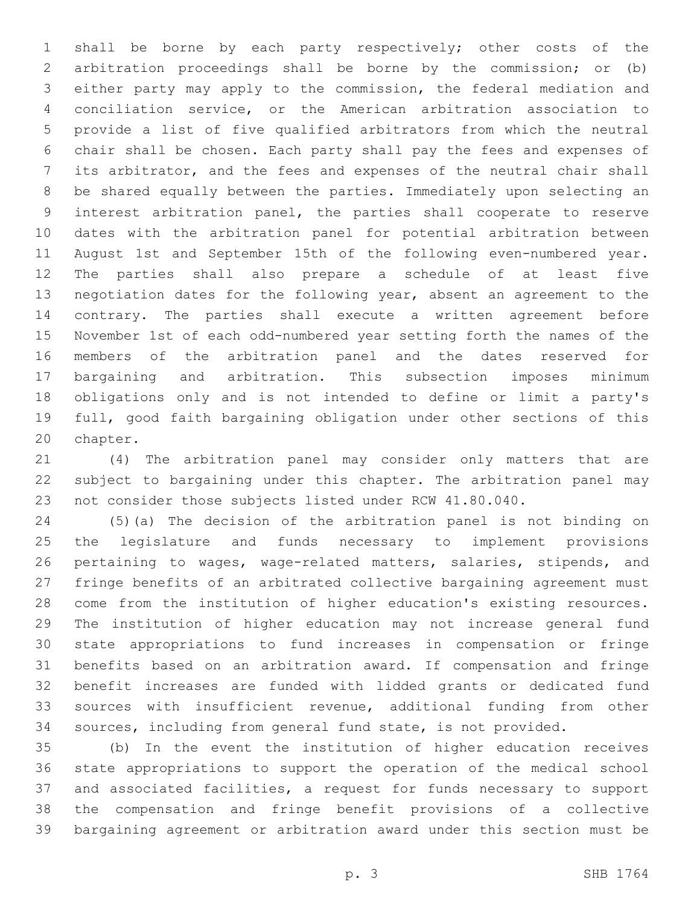shall be borne by each party respectively; other costs of the arbitration proceedings shall be borne by the commission; or (b) either party may apply to the commission, the federal mediation and conciliation service, or the American arbitration association to provide a list of five qualified arbitrators from which the neutral chair shall be chosen. Each party shall pay the fees and expenses of its arbitrator, and the fees and expenses of the neutral chair shall be shared equally between the parties. Immediately upon selecting an interest arbitration panel, the parties shall cooperate to reserve dates with the arbitration panel for potential arbitration between August 1st and September 15th of the following even-numbered year. The parties shall also prepare a schedule of at least five negotiation dates for the following year, absent an agreement to the contrary. The parties shall execute a written agreement before November 1st of each odd-numbered year setting forth the names of the members of the arbitration panel and the dates reserved for bargaining and arbitration. This subsection imposes minimum obligations only and is not intended to define or limit a party's full, good faith bargaining obligation under other sections of this 20 chapter.

 (4) The arbitration panel may consider only matters that are subject to bargaining under this chapter. The arbitration panel may not consider those subjects listed under RCW 41.80.040.

 (5)(a) The decision of the arbitration panel is not binding on the legislature and funds necessary to implement provisions 26 pertaining to wages, wage-related matters, salaries, stipends, and fringe benefits of an arbitrated collective bargaining agreement must come from the institution of higher education's existing resources. The institution of higher education may not increase general fund state appropriations to fund increases in compensation or fringe benefits based on an arbitration award. If compensation and fringe benefit increases are funded with lidded grants or dedicated fund sources with insufficient revenue, additional funding from other sources, including from general fund state, is not provided.

 (b) In the event the institution of higher education receives state appropriations to support the operation of the medical school and associated facilities, a request for funds necessary to support the compensation and fringe benefit provisions of a collective bargaining agreement or arbitration award under this section must be